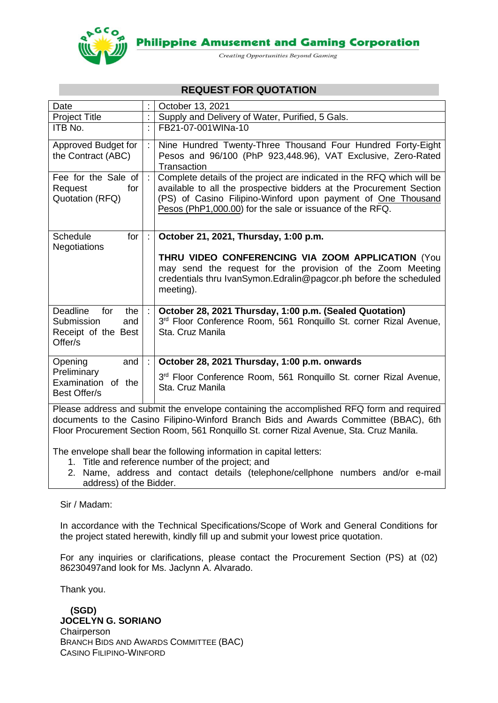

**Philippine Amusement and Gaming Corporation** 

Creating Opportunities Beyond Gaming

## **REQUEST FOR QUOTATION**

| Date                                                                                                                                                                                                                                                                          |                           | October 13, 2021                                                                                                                                                                                                                                                          |  |
|-------------------------------------------------------------------------------------------------------------------------------------------------------------------------------------------------------------------------------------------------------------------------------|---------------------------|---------------------------------------------------------------------------------------------------------------------------------------------------------------------------------------------------------------------------------------------------------------------------|--|
| <b>Project Title</b>                                                                                                                                                                                                                                                          | Ì.                        | Supply and Delivery of Water, Purified, 5 Gals.                                                                                                                                                                                                                           |  |
| ITB No.                                                                                                                                                                                                                                                                       | t.                        | FB21-07-001WINa-10                                                                                                                                                                                                                                                        |  |
| Approved Budget for<br>the Contract (ABC)                                                                                                                                                                                                                                     |                           | Nine Hundred Twenty-Three Thousand Four Hundred Forty-Eight<br>Pesos and 96/100 (PhP 923,448.96), VAT Exclusive, Zero-Rated<br>Transaction                                                                                                                                |  |
| Fee for the Sale of<br>Request<br>for<br>Quotation (RFQ)                                                                                                                                                                                                                      | $\mathbb{R}^{\mathbb{Z}}$ | Complete details of the project are indicated in the RFQ which will be<br>available to all the prospective bidders at the Procurement Section<br>(PS) of Casino Filipino-Winford upon payment of One Thousand<br>Pesos (PhP1,000.00) for the sale or issuance of the RFQ. |  |
| Schedule<br>for<br>Negotiations                                                                                                                                                                                                                                               |                           | October 21, 2021, Thursday, 1:00 p.m.<br>THRU VIDEO CONFERENCING VIA ZOOM APPLICATION (You<br>may send the request for the provision of the Zoom Meeting<br>credentials thru IvanSymon.Edralin@pagcor.ph before the scheduled<br>meeting).                                |  |
| Deadline<br>for<br>the<br>Submission<br>and<br>Receipt of the Best<br>Offer/s                                                                                                                                                                                                 |                           | October 28, 2021 Thursday, 1:00 p.m. (Sealed Quotation)<br>3 <sup>rd</sup> Floor Conference Room, 561 Ronquillo St. corner Rizal Avenue,<br>Sta. Cruz Manila                                                                                                              |  |
| Opening<br>and                                                                                                                                                                                                                                                                |                           | October 28, 2021 Thursday, 1:00 p.m. onwards                                                                                                                                                                                                                              |  |
| Preliminary<br>Examination<br>of the<br>Best Offer/s                                                                                                                                                                                                                          |                           | 3rd Floor Conference Room, 561 Ronquillo St. corner Rizal Avenue,<br>Sta. Cruz Manila                                                                                                                                                                                     |  |
| Please address and submit the envelope containing the accomplished RFQ form and required<br>documents to the Casino Filipino-Winford Branch Bids and Awards Committee (BBAC), 6th<br>Floor Procurement Section Room, 561 Ronquillo St. corner Rizal Avenue, Sta. Cruz Manila. |                           |                                                                                                                                                                                                                                                                           |  |

The envelope shall bear the following information in capital letters:

- 1. Title and reference number of the project; and
- 2. Name, address and contact details (telephone/cellphone numbers and/or e-mail address) of the Bidder.

### Sir / Madam:

In accordance with the Technical Specifications/Scope of Work and General Conditions for the project stated herewith, kindly fill up and submit your lowest price quotation.

For any inquiries or clarifications, please contact the Procurement Section (PS) at (02) 86230497and look for Ms. Jaclynn A. Alvarado.

Thank you.

 **(SGD) JOCELYN G. SORIANO Chairperson** BRANCH BIDS AND AWARDS COMMITTEE (BAC) CASINO FILIPINO-WINFORD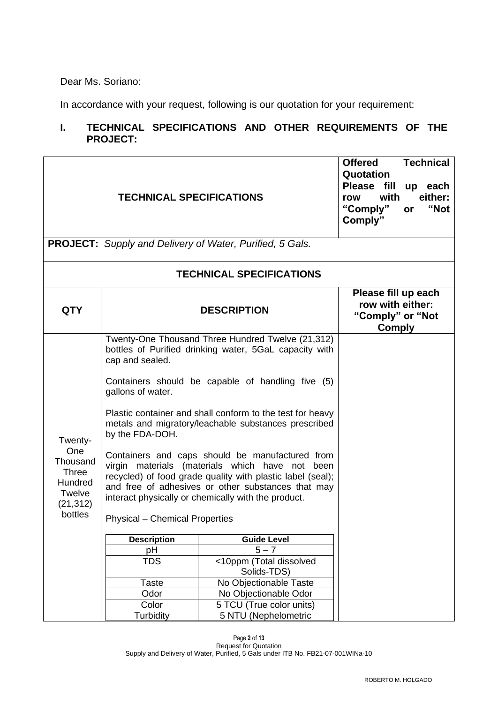Dear Ms. Soriano:

In accordance with your request, following is our quotation for your requirement:

# **I. TECHNICAL SPECIFICATIONS AND OTHER REQUIREMENTS OF THE PROJECT:**

|                                                                                         | <b>TECHNICAL SPECIFICATIONS</b>                                                                                                                                                                                                                          |                                                                                                                                                                                                                                                                                                                                                                                                                                                                                                                                                                           | <b>Technical</b><br><b>Offered</b><br>Quotation<br>Please fill<br>up each<br>either:<br>with<br>row<br>"Not<br>"Comply"<br><b>or</b><br>Comply" |
|-----------------------------------------------------------------------------------------|----------------------------------------------------------------------------------------------------------------------------------------------------------------------------------------------------------------------------------------------------------|---------------------------------------------------------------------------------------------------------------------------------------------------------------------------------------------------------------------------------------------------------------------------------------------------------------------------------------------------------------------------------------------------------------------------------------------------------------------------------------------------------------------------------------------------------------------------|-------------------------------------------------------------------------------------------------------------------------------------------------|
|                                                                                         | PROJECT: Supply and Delivery of Water, Purified, 5 Gals.                                                                                                                                                                                                 |                                                                                                                                                                                                                                                                                                                                                                                                                                                                                                                                                                           |                                                                                                                                                 |
|                                                                                         |                                                                                                                                                                                                                                                          | <b>TECHNICAL SPECIFICATIONS</b>                                                                                                                                                                                                                                                                                                                                                                                                                                                                                                                                           |                                                                                                                                                 |
| <b>QTY</b>                                                                              | <b>DESCRIPTION</b>                                                                                                                                                                                                                                       | Please fill up each<br>row with either:<br>"Comply" or "Not<br><b>Comply</b>                                                                                                                                                                                                                                                                                                                                                                                                                                                                                              |                                                                                                                                                 |
| Twenty-<br>One<br>Thousand<br><b>Three</b><br>Hundred<br>Twelve<br>(21, 312)<br>bottles | cap and sealed.<br>gallons of water.<br>by the FDA-DOH.<br>virgin materials (materials which have not<br>interact physically or chemically with the product.<br><b>Physical – Chemical Properties</b><br><b>Description</b><br>pH<br><b>TDS</b><br>Taste | Twenty-One Thousand Three Hundred Twelve (21,312)<br>bottles of Purified drinking water, 5GaL capacity with<br>Containers should be capable of handling five (5)<br>Plastic container and shall conform to the test for heavy<br>metals and migratory/leachable substances prescribed<br>Containers and caps should be manufactured from<br>been<br>recycled) of food grade quality with plastic label (seal);<br>and free of adhesives or other substances that may<br><b>Guide Level</b><br>$5 - 7$<br><10ppm (Total dissolved<br>Solids-TDS)<br>No Objectionable Taste |                                                                                                                                                 |
|                                                                                         | Odor<br>Color<br>Turbidity                                                                                                                                                                                                                               | No Objectionable Odor<br>5 TCU (True color units)<br>5 NTU (Nephelometric                                                                                                                                                                                                                                                                                                                                                                                                                                                                                                 |                                                                                                                                                 |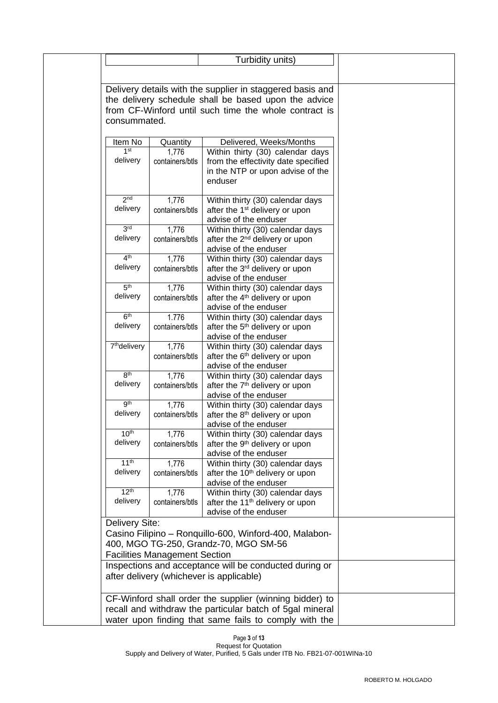|                              |                                                         | Turbidity units)                                                                                                  |  |
|------------------------------|---------------------------------------------------------|-------------------------------------------------------------------------------------------------------------------|--|
|                              |                                                         |                                                                                                                   |  |
|                              |                                                         |                                                                                                                   |  |
|                              |                                                         | Delivery details with the supplier in staggered basis and<br>the delivery schedule shall be based upon the advice |  |
|                              |                                                         | from CF-Winford until such time the whole contract is                                                             |  |
| consummated.                 |                                                         |                                                                                                                   |  |
|                              |                                                         |                                                                                                                   |  |
| Item No                      | Quantity                                                | Delivered, Weeks/Months                                                                                           |  |
| 1 <sup>st</sup>              | 1,776                                                   | Within thirty (30) calendar days                                                                                  |  |
| delivery                     | containers/btls                                         | from the effectivity date specified                                                                               |  |
|                              |                                                         | in the NTP or upon advise of the<br>enduser                                                                       |  |
|                              |                                                         |                                                                                                                   |  |
| 2 <sub>nd</sub>              | 1,776                                                   | Within thirty (30) calendar days                                                                                  |  |
| delivery                     | containers/btls                                         | after the 1 <sup>st</sup> delivery or upon                                                                        |  |
|                              |                                                         | advise of the enduser                                                                                             |  |
| 3 <sup>rd</sup>              | 1,776                                                   | Within thirty (30) calendar days                                                                                  |  |
| delivery                     | containers/btls                                         | after the 2 <sup>nd</sup> delivery or upon<br>advise of the enduser                                               |  |
| 4 <sup>th</sup>              | 1,776                                                   | Within thirty (30) calendar days                                                                                  |  |
| delivery                     | containers/btls                                         | after the 3 <sup>rd</sup> delivery or upon                                                                        |  |
|                              |                                                         | advise of the enduser                                                                                             |  |
| 5 <sup>th</sup>              | 1,776                                                   | Within thirty (30) calendar days                                                                                  |  |
| delivery                     | containers/btls                                         | after the 4 <sup>th</sup> delivery or upon                                                                        |  |
| 6 <sup>th</sup>              | 1.776                                                   | advise of the enduser<br>Within thirty (30) calendar days                                                         |  |
| delivery                     | containers/btls                                         | after the 5 <sup>th</sup> delivery or upon                                                                        |  |
|                              |                                                         | advise of the enduser                                                                                             |  |
| 7 <sup>th</sup> delivery     | 1,776                                                   | Within thirty (30) calendar days                                                                                  |  |
|                              | containers/btls                                         | after the 6 <sup>th</sup> delivery or upon                                                                        |  |
| 8 <sup>th</sup>              |                                                         | advise of the enduser                                                                                             |  |
| delivery                     | 1,776<br>containers/btls                                | Within thirty (30) calendar days<br>after the 7 <sup>th</sup> delivery or upon                                    |  |
|                              |                                                         | advise of the enduser                                                                                             |  |
| gth                          | 1,776                                                   | Within thirty (30) calendar days                                                                                  |  |
| delivery                     | containers/btls                                         | after the 8 <sup>th</sup> delivery or upon                                                                        |  |
|                              |                                                         | advise of the enduser                                                                                             |  |
| 10 <sup>th</sup><br>delivery | 1,776<br>containers/btls                                | Within thirty (30) calendar days<br>after the 9 <sup>th</sup> delivery or upon                                    |  |
|                              |                                                         | advise of the enduser                                                                                             |  |
| 11 <sup>th</sup>             | 1,776                                                   | Within thirty (30) calendar days                                                                                  |  |
| delivery                     | containers/btls                                         | after the 10 <sup>th</sup> delivery or upon                                                                       |  |
| 12 <sup>th</sup>             |                                                         | advise of the enduser                                                                                             |  |
| delivery                     | 1,776<br>containers/btls                                | Within thirty (30) calendar days<br>after the 11 <sup>th</sup> delivery or upon                                   |  |
|                              |                                                         | advise of the enduser                                                                                             |  |
| Delivery Site:               |                                                         |                                                                                                                   |  |
|                              |                                                         | Casino Filipino - Ronquillo-600, Winford-400, Malabon-                                                            |  |
|                              |                                                         | 400, MGO TG-250, Grandz-70, MGO SM-56                                                                             |  |
|                              | <b>Facilities Management Section</b>                    |                                                                                                                   |  |
|                              |                                                         | Inspections and acceptance will be conducted during or                                                            |  |
|                              |                                                         | after delivery (whichever is applicable)                                                                          |  |
|                              |                                                         |                                                                                                                   |  |
|                              | CF-Winford shall order the supplier (winning bidder) to |                                                                                                                   |  |
|                              |                                                         | recall and withdraw the particular batch of 5gal mineral                                                          |  |
|                              |                                                         | water upon finding that same fails to comply with the                                                             |  |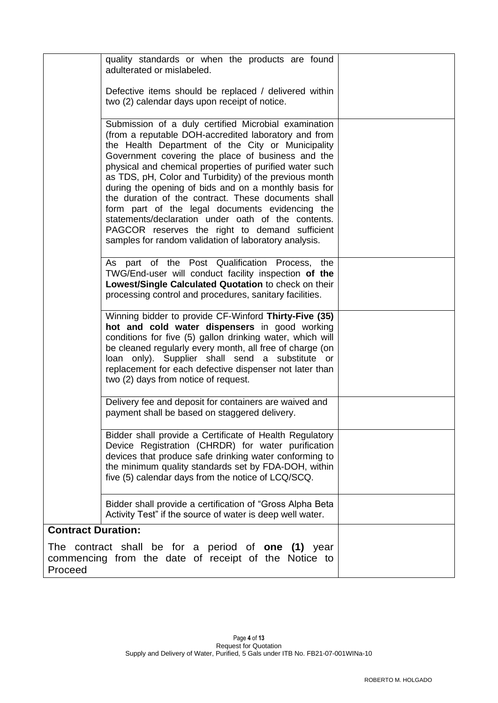|                           | quality standards or when the products are found<br>adulterated or mislabeled.                                                                                                                                                                                                                                                                                                                                                                                                                                                                                                                                                                                                  |  |
|---------------------------|---------------------------------------------------------------------------------------------------------------------------------------------------------------------------------------------------------------------------------------------------------------------------------------------------------------------------------------------------------------------------------------------------------------------------------------------------------------------------------------------------------------------------------------------------------------------------------------------------------------------------------------------------------------------------------|--|
|                           | Defective items should be replaced / delivered within<br>two (2) calendar days upon receipt of notice.                                                                                                                                                                                                                                                                                                                                                                                                                                                                                                                                                                          |  |
|                           | Submission of a duly certified Microbial examination<br>(from a reputable DOH-accredited laboratory and from<br>the Health Department of the City or Municipality<br>Government covering the place of business and the<br>physical and chemical properties of purified water such<br>as TDS, pH, Color and Turbidity) of the previous month<br>during the opening of bids and on a monthly basis for<br>the duration of the contract. These documents shall<br>form part of the legal documents evidencing the<br>statements/declaration under oath of the contents.<br>PAGCOR reserves the right to demand sufficient<br>samples for random validation of laboratory analysis. |  |
|                           | As part of the Post Qualification Process,<br>the<br>TWG/End-user will conduct facility inspection of the<br>Lowest/Single Calculated Quotation to check on their<br>processing control and procedures, sanitary facilities.                                                                                                                                                                                                                                                                                                                                                                                                                                                    |  |
|                           | Winning bidder to provide CF-Winford Thirty-Five (35)<br>hot and cold water dispensers in good working<br>conditions for five (5) gallon drinking water, which will<br>be cleaned regularly every month, all free of charge (on<br>loan only). Supplier shall send a substitute or<br>replacement for each defective dispenser not later than<br>two (2) days from notice of request.                                                                                                                                                                                                                                                                                           |  |
|                           | Delivery fee and deposit for containers are waived and<br>payment shall be based on staggered delivery.                                                                                                                                                                                                                                                                                                                                                                                                                                                                                                                                                                         |  |
|                           | Bidder shall provide a Certificate of Health Regulatory<br>Device Registration (CHRDR) for water purification<br>devices that produce safe drinking water conforming to<br>the minimum quality standards set by FDA-DOH, within<br>five (5) calendar days from the notice of LCQ/SCQ.                                                                                                                                                                                                                                                                                                                                                                                           |  |
|                           | Bidder shall provide a certification of "Gross Alpha Beta<br>Activity Test" if the source of water is deep well water.                                                                                                                                                                                                                                                                                                                                                                                                                                                                                                                                                          |  |
| <b>Contract Duration:</b> |                                                                                                                                                                                                                                                                                                                                                                                                                                                                                                                                                                                                                                                                                 |  |
| Proceed                   | The contract shall be for a period of <b>one (1)</b> year<br>commencing from the date of receipt of the Notice to                                                                                                                                                                                                                                                                                                                                                                                                                                                                                                                                                               |  |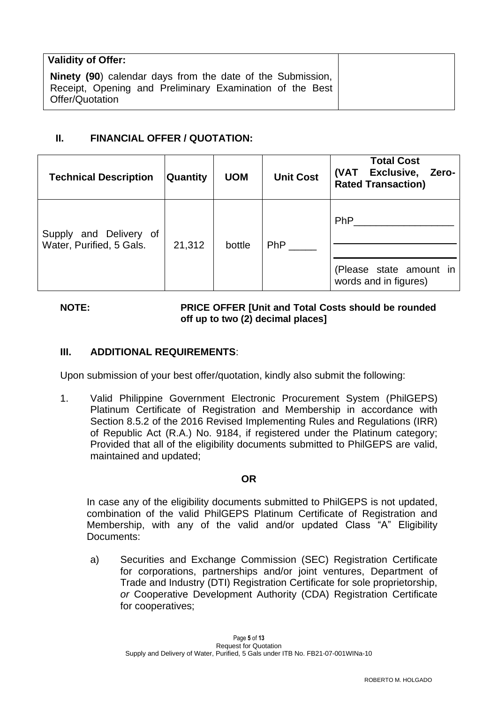| <b>Validity of Offer:</b>                                                                                                                        |
|--------------------------------------------------------------------------------------------------------------------------------------------------|
| <b>Ninety (90)</b> calendar days from the date of the Submission,<br>Receipt, Opening and Preliminary Examination of the Best<br>Offer/Quotation |

## **II. FINANCIAL OFFER / QUOTATION:**

| <b>Technical Description</b>                       | <b>Quantity</b> | <b>UOM</b> | <b>Unit Cost</b> | <b>Total Cost</b><br>Exclusive,<br>(VAT<br>Zero-<br><b>Rated Transaction)</b> |
|----------------------------------------------------|-----------------|------------|------------------|-------------------------------------------------------------------------------|
| Supply and Delivery of<br>Water, Purified, 5 Gals. | 21,312          | bottle     | <b>PhP</b>       | <b>PhP</b><br>(Please state amount in<br>words and in figures)                |

### **NOTE: PRICE OFFER [Unit and Total Costs should be rounded off up to two (2) decimal places]**

## **III. ADDITIONAL REQUIREMENTS**:

Upon submission of your best offer/quotation, kindly also submit the following:

1. Valid Philippine Government Electronic Procurement System (PhilGEPS) Platinum Certificate of Registration and Membership in accordance with Section 8.5.2 of the 2016 Revised Implementing Rules and Regulations (IRR) of Republic Act (R.A.) No. 9184, if registered under the Platinum category; Provided that all of the eligibility documents submitted to PhilGEPS are valid, maintained and updated;

### **OR**

In case any of the eligibility documents submitted to PhilGEPS is not updated, combination of the valid PhilGEPS Platinum Certificate of Registration and Membership, with any of the valid and/or updated Class "A" Eligibility Documents:

a) Securities and Exchange Commission (SEC) Registration Certificate for corporations, partnerships and/or joint ventures, Department of Trade and Industry (DTI) Registration Certificate for sole proprietorship, *or* Cooperative Development Authority (CDA) Registration Certificate for cooperatives;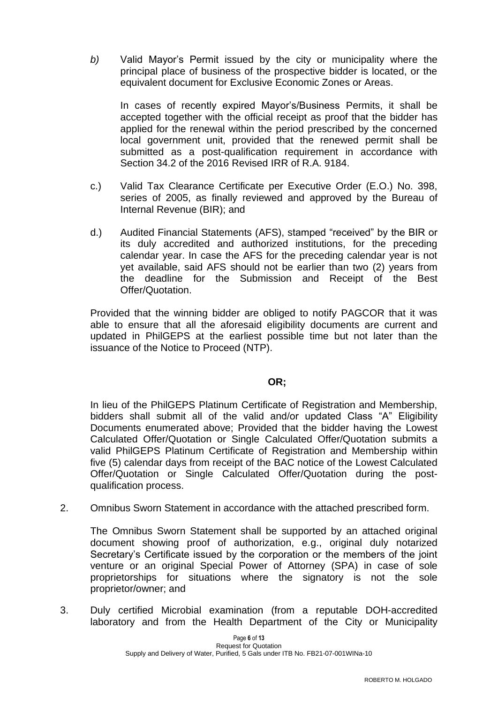*b)* Valid Mayor's Permit issued by the city or municipality where the principal place of business of the prospective bidder is located, or the equivalent document for Exclusive Economic Zones or Areas.

In cases of recently expired Mayor's/Business Permits, it shall be accepted together with the official receipt as proof that the bidder has applied for the renewal within the period prescribed by the concerned local government unit, provided that the renewed permit shall be submitted as a post-qualification requirement in accordance with Section 34.2 of the 2016 Revised IRR of R.A. 9184.

- c.) Valid Tax Clearance Certificate per Executive Order (E.O.) No. 398, series of 2005, as finally reviewed and approved by the Bureau of Internal Revenue (BIR); and
- d.) Audited Financial Statements (AFS), stamped "received" by the BIR or its duly accredited and authorized institutions, for the preceding calendar year. In case the AFS for the preceding calendar year is not yet available, said AFS should not be earlier than two (2) years from the deadline for the Submission and Receipt of the Best Offer/Quotation.

Provided that the winning bidder are obliged to notify PAGCOR that it was able to ensure that all the aforesaid eligibility documents are current and updated in PhilGEPS at the earliest possible time but not later than the issuance of the Notice to Proceed (NTP).

#### **OR;**

In lieu of the PhilGEPS Platinum Certificate of Registration and Membership, bidders shall submit all of the valid and/or updated Class "A" Eligibility Documents enumerated above; Provided that the bidder having the Lowest Calculated Offer/Quotation or Single Calculated Offer/Quotation submits a valid PhilGEPS Platinum Certificate of Registration and Membership within five (5) calendar days from receipt of the BAC notice of the Lowest Calculated Offer/Quotation or Single Calculated Offer/Quotation during the postqualification process.

2. Omnibus Sworn Statement in accordance with the attached prescribed form.

The Omnibus Sworn Statement shall be supported by an attached original document showing proof of authorization, e.g., original duly notarized Secretary's Certificate issued by the corporation or the members of the joint venture or an original Special Power of Attorney (SPA) in case of sole proprietorships for situations where the signatory is not the sole proprietor/owner; and

3. Duly certified Microbial examination (from a reputable DOH-accredited laboratory and from the Health Department of the City or Municipality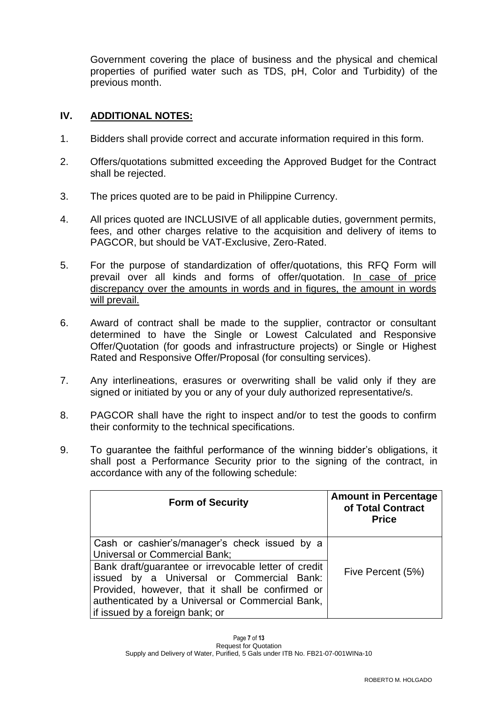Government covering the place of business and the physical and chemical properties of purified water such as TDS, pH, Color and Turbidity) of the previous month.

### **IV. ADDITIONAL NOTES:**

- 1. Bidders shall provide correct and accurate information required in this form.
- 2. Offers/quotations submitted exceeding the Approved Budget for the Contract shall be rejected.
- 3. The prices quoted are to be paid in Philippine Currency.
- 4. All prices quoted are INCLUSIVE of all applicable duties, government permits, fees, and other charges relative to the acquisition and delivery of items to PAGCOR, but should be VAT-Exclusive, Zero-Rated.
- 5. For the purpose of standardization of offer/quotations, this RFQ Form will prevail over all kinds and forms of offer/quotation. In case of price discrepancy over the amounts in words and in figures, the amount in words will prevail.
- 6. Award of contract shall be made to the supplier, contractor or consultant determined to have the Single or Lowest Calculated and Responsive Offer/Quotation (for goods and infrastructure projects) or Single or Highest Rated and Responsive Offer/Proposal (for consulting services).
- 7. Any interlineations, erasures or overwriting shall be valid only if they are signed or initiated by you or any of your duly authorized representative/s.
- 8. PAGCOR shall have the right to inspect and/or to test the goods to confirm their conformity to the technical specifications.
- 9. To guarantee the faithful performance of the winning bidder's obligations, it shall post a Performance Security prior to the signing of the contract, in accordance with any of the following schedule:

| <b>Form of Security</b>                                                                                                                                                                                                                                                                                                               | <b>Amount in Percentage</b><br>of Total Contract<br><b>Price</b> |
|---------------------------------------------------------------------------------------------------------------------------------------------------------------------------------------------------------------------------------------------------------------------------------------------------------------------------------------|------------------------------------------------------------------|
| Cash or cashier's/manager's check issued by a<br><b>Universal or Commercial Bank;</b><br>Bank draft/guarantee or irrevocable letter of credit<br>issued by a Universal or Commercial Bank:<br>Provided, however, that it shall be confirmed or<br>authenticated by a Universal or Commercial Bank,<br>if issued by a foreign bank; or | Five Percent (5%)                                                |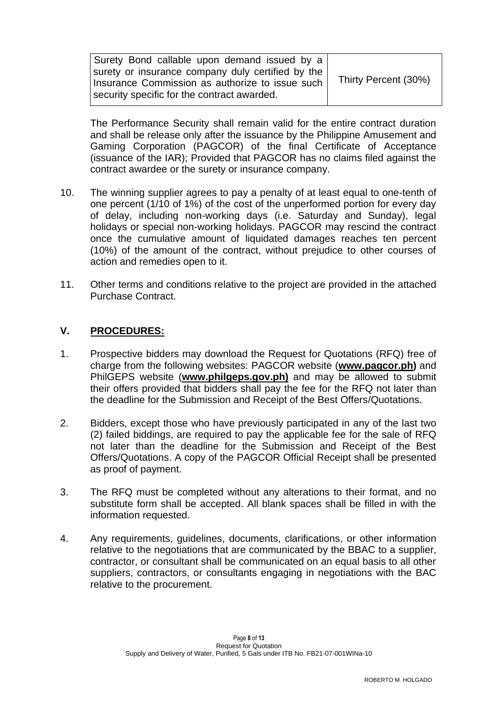| Thirty Percent (30%) |
|----------------------|
|                      |
|                      |

The Performance Security shall remain valid for the entire contract duration and shall be release only after the issuance by the Philippine Amusement and Gaming Corporation (PAGCOR) of the final Certificate of Acceptance (issuance of the IAR); Provided that PAGCOR has no claims filed against the contract awardee or the surety or insurance company.

- 10. The winning supplier agrees to pay a penalty of at least equal to one-tenth of one percent (1/10 of 1%) of the cost of the unperformed portion for every day of delay, including non-working days (i.e. Saturday and Sunday), legal holidays or special non-working holidays. PAGCOR may rescind the contract once the cumulative amount of liquidated damages reaches ten percent (10%) of the amount of the contract, without prejudice to other courses of action and remedies open to it.
- 11. Other terms and conditions relative to the project are provided in the attached Purchase Contract.

### **V. PROCEDURES:**

- 1. Prospective bidders may download the Request for Quotations (RFQ) free of charge from the following websites: PAGCOR website (**[www.pagcor.ph\)](http://www.pagcor.ph/)** and PhilGEPS website (**www.philgeps.gov.ph)** and may be allowed to submit their offers provided that bidders shall pay the fee for the RFQ not later than the deadline for the Submission and Receipt of the Best Offers/Quotations.
- 2. Bidders, except those who have previously participated in any of the last two (2) failed biddings, are required to pay the applicable fee for the sale of RFQ not later than the deadline for the Submission and Receipt of the Best Offers/Quotations. A copy of the PAGCOR Official Receipt shall be presented as proof of payment.
- 3. The RFQ must be completed without any alterations to their format, and no substitute form shall be accepted. All blank spaces shall be filled in with the information requested.
- 4. Any requirements, guidelines, documents, clarifications, or other information relative to the negotiations that are communicated by the BBAC to a supplier, contractor, or consultant shall be communicated on an equal basis to all other suppliers, contractors, or consultants engaging in negotiations with the BAC relative to the procurement.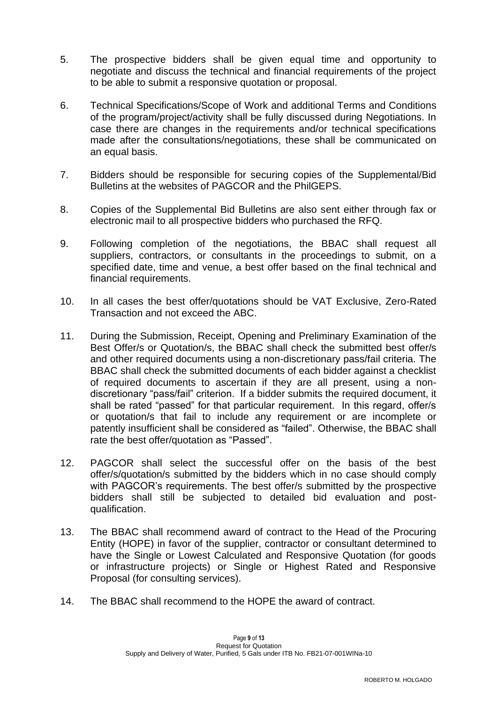- 5. The prospective bidders shall be given equal time and opportunity to negotiate and discuss the technical and financial requirements of the project to be able to submit a responsive quotation or proposal.
- 6. Technical Specifications/Scope of Work and additional Terms and Conditions of the program/project/activity shall be fully discussed during Negotiations. In case there are changes in the requirements and/or technical specifications made after the consultations/negotiations, these shall be communicated on an equal basis.
- 7. Bidders should be responsible for securing copies of the Supplemental/Bid Bulletins at the websites of PAGCOR and the PhilGEPS.
- 8. Copies of the Supplemental Bid Bulletins are also sent either through fax or electronic mail to all prospective bidders who purchased the RFQ.
- 9. Following completion of the negotiations, the BBAC shall request all suppliers, contractors, or consultants in the proceedings to submit, on a specified date, time and venue, a best offer based on the final technical and financial requirements.
- 10. In all cases the best offer/quotations should be VAT Exclusive, Zero-Rated Transaction and not exceed the ABC.
- 11. During the Submission, Receipt, Opening and Preliminary Examination of the Best Offer/s or Quotation/s, the BBAC shall check the submitted best offer/s and other required documents using a non-discretionary pass/fail criteria. The BBAC shall check the submitted documents of each bidder against a checklist of required documents to ascertain if they are all present, using a nondiscretionary "pass/fail" criterion. If a bidder submits the required document, it shall be rated "passed" for that particular requirement. In this regard, offer/s or quotation/s that fail to include any requirement or are incomplete or patently insufficient shall be considered as "failed". Otherwise, the BBAC shall rate the best offer/quotation as "Passed".
- 12. PAGCOR shall select the successful offer on the basis of the best offer/s/quotation/s submitted by the bidders which in no case should comply with PAGCOR's requirements. The best offer/s submitted by the prospective bidders shall still be subjected to detailed bid evaluation and postqualification.
- 13. The BBAC shall recommend award of contract to the Head of the Procuring Entity (HOPE) in favor of the supplier, contractor or consultant determined to have the Single or Lowest Calculated and Responsive Quotation (for goods or infrastructure projects) or Single or Highest Rated and Responsive Proposal (for consulting services).
- 14. The BBAC shall recommend to the HOPE the award of contract.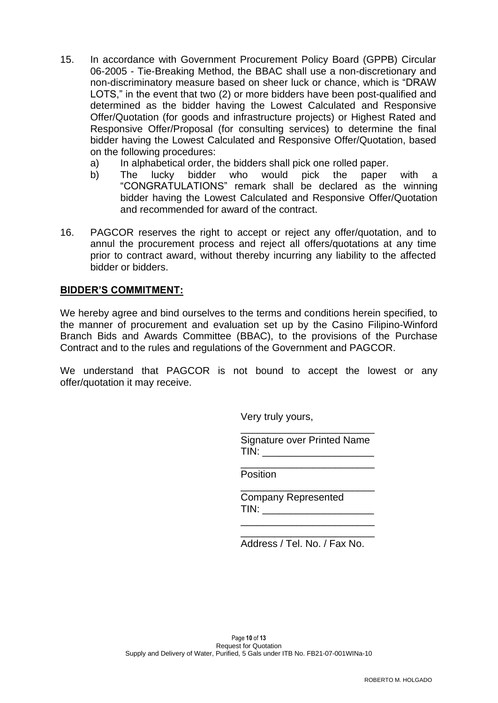- 15. In accordance with Government Procurement Policy Board (GPPB) Circular 06-2005 - Tie-Breaking Method, the BBAC shall use a non-discretionary and non-discriminatory measure based on sheer luck or chance, which is "DRAW LOTS," in the event that two (2) or more bidders have been post-qualified and determined as the bidder having the Lowest Calculated and Responsive Offer/Quotation (for goods and infrastructure projects) or Highest Rated and Responsive Offer/Proposal (for consulting services) to determine the final bidder having the Lowest Calculated and Responsive Offer/Quotation, based on the following procedures:
	- a) In alphabetical order, the bidders shall pick one rolled paper.
	- b) The lucky bidder who would pick the paper with a "CONGRATULATIONS" remark shall be declared as the winning bidder having the Lowest Calculated and Responsive Offer/Quotation and recommended for award of the contract.
- 16. PAGCOR reserves the right to accept or reject any offer/quotation, and to annul the procurement process and reject all offers/quotations at any time prior to contract award, without thereby incurring any liability to the affected bidder or bidders.

### **BIDDER'S COMMITMENT:**

We hereby agree and bind ourselves to the terms and conditions herein specified, to the manner of procurement and evaluation set up by the Casino Filipino-Winford Branch Bids and Awards Committee (BBAC), to the provisions of the Purchase Contract and to the rules and regulations of the Government and PAGCOR.

We understand that PAGCOR is not bound to accept the lowest or any offer/quotation it may receive.

Very truly yours,

\_\_\_\_\_\_\_\_\_\_\_\_\_\_\_\_\_\_\_\_\_\_\_\_ Signature over Printed Name  $TIN:$ 

\_\_\_\_\_\_\_\_\_\_\_\_\_\_\_\_\_\_\_\_\_\_\_\_

\_\_\_\_\_\_\_\_\_\_\_\_\_\_\_\_\_\_\_\_\_\_\_\_

Position

Company Represented TIN: \_\_\_\_\_\_\_\_\_\_\_\_\_\_\_\_\_\_\_\_

 $\frac{1}{\sqrt{2}}$  ,  $\frac{1}{\sqrt{2}}$  ,  $\frac{1}{\sqrt{2}}$  ,  $\frac{1}{\sqrt{2}}$  ,  $\frac{1}{\sqrt{2}}$  ,  $\frac{1}{\sqrt{2}}$  ,  $\frac{1}{\sqrt{2}}$  ,  $\frac{1}{\sqrt{2}}$  ,  $\frac{1}{\sqrt{2}}$  ,  $\frac{1}{\sqrt{2}}$  ,  $\frac{1}{\sqrt{2}}$  ,  $\frac{1}{\sqrt{2}}$  ,  $\frac{1}{\sqrt{2}}$  ,  $\frac{1}{\sqrt{2}}$  ,  $\frac{1}{\sqrt{2}}$ 

\_\_\_\_\_\_\_\_\_\_\_\_\_\_\_\_\_\_\_\_\_\_\_\_ Address / Tel. No. / Fax No.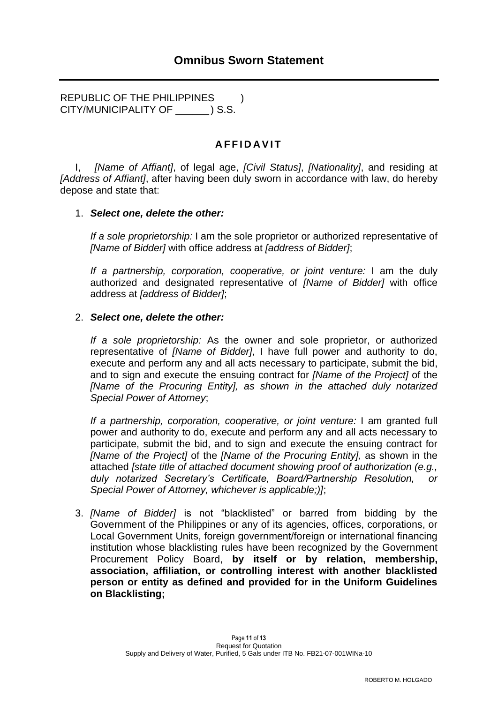REPUBLIC OF THE PHILIPPINES ) CITY/MUNICIPALITY OF \_\_\_\_\_\_ ) S.S.

# **A F F I D A V I T**

I, *[Name of Affiant]*, of legal age, *[Civil Status]*, *[Nationality]*, and residing at *[Address of Affiant]*, after having been duly sworn in accordance with law, do hereby depose and state that:

#### 1. *Select one, delete the other:*

*If a sole proprietorship:* I am the sole proprietor or authorized representative of *[Name of Bidder]* with office address at *[address of Bidder]*;

*If a partnership, corporation, cooperative, or joint venture:* I am the duly authorized and designated representative of *[Name of Bidder]* with office address at *[address of Bidder]*;

#### 2. *Select one, delete the other:*

*If a sole proprietorship:* As the owner and sole proprietor, or authorized representative of *[Name of Bidder]*, I have full power and authority to do, execute and perform any and all acts necessary to participate, submit the bid, and to sign and execute the ensuing contract for *[Name of the Project]* of the *[Name of the Procuring Entity], as shown in the attached duly notarized Special Power of Attorney*;

*If a partnership, corporation, cooperative, or joint venture:* I am granted full power and authority to do, execute and perform any and all acts necessary to participate, submit the bid, and to sign and execute the ensuing contract for *[Name of the Project]* of the *[Name of the Procuring Entity],* as shown in the attached *[state title of attached document showing proof of authorization (e.g., duly notarized Secretary's Certificate, Board/Partnership Resolution, or Special Power of Attorney, whichever is applicable;)]*;

3. *[Name of Bidder]* is not "blacklisted" or barred from bidding by the Government of the Philippines or any of its agencies, offices, corporations, or Local Government Units, foreign government/foreign or international financing institution whose blacklisting rules have been recognized by the Government Procurement Policy Board, **by itself or by relation, membership, association, affiliation, or controlling interest with another blacklisted person or entity as defined and provided for in the Uniform Guidelines on Blacklisting;**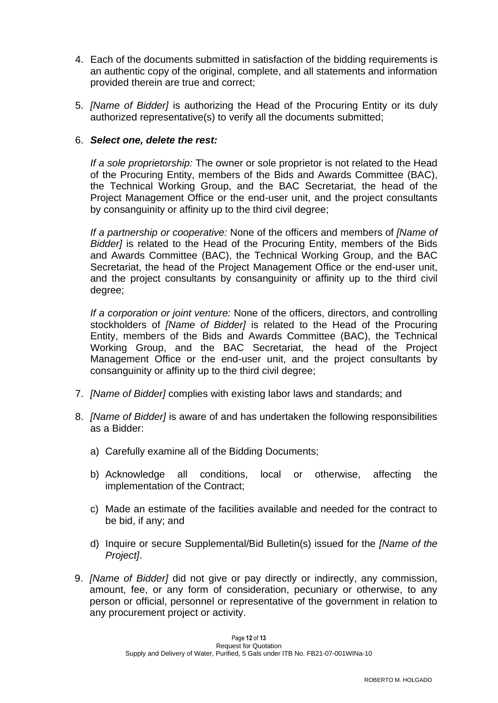- 4. Each of the documents submitted in satisfaction of the bidding requirements is an authentic copy of the original, complete, and all statements and information provided therein are true and correct;
- 5. *[Name of Bidder]* is authorizing the Head of the Procuring Entity or its duly authorized representative(s) to verify all the documents submitted;

### 6. *Select one, delete the rest:*

*If a sole proprietorship:* The owner or sole proprietor is not related to the Head of the Procuring Entity, members of the Bids and Awards Committee (BAC), the Technical Working Group, and the BAC Secretariat, the head of the Project Management Office or the end-user unit, and the project consultants by consanguinity or affinity up to the third civil degree;

*If a partnership or cooperative:* None of the officers and members of *[Name of Bidder]* is related to the Head of the Procuring Entity, members of the Bids and Awards Committee (BAC), the Technical Working Group, and the BAC Secretariat, the head of the Project Management Office or the end-user unit, and the project consultants by consanguinity or affinity up to the third civil degree;

*If a corporation or joint venture:* None of the officers, directors, and controlling stockholders of *[Name of Bidder]* is related to the Head of the Procuring Entity, members of the Bids and Awards Committee (BAC), the Technical Working Group, and the BAC Secretariat, the head of the Project Management Office or the end-user unit, and the project consultants by consanguinity or affinity up to the third civil degree;

- 7. *[Name of Bidder]* complies with existing labor laws and standards; and
- 8. *[Name of Bidder]* is aware of and has undertaken the following responsibilities as a Bidder:
	- a) Carefully examine all of the Bidding Documents;
	- b) Acknowledge all conditions, local or otherwise, affecting the implementation of the Contract;
	- c) Made an estimate of the facilities available and needed for the contract to be bid, if any; and
	- d) Inquire or secure Supplemental/Bid Bulletin(s) issued for the *[Name of the Project]*.
- 9. *[Name of Bidder]* did not give or pay directly or indirectly, any commission, amount, fee, or any form of consideration, pecuniary or otherwise, to any person or official, personnel or representative of the government in relation to any procurement project or activity.